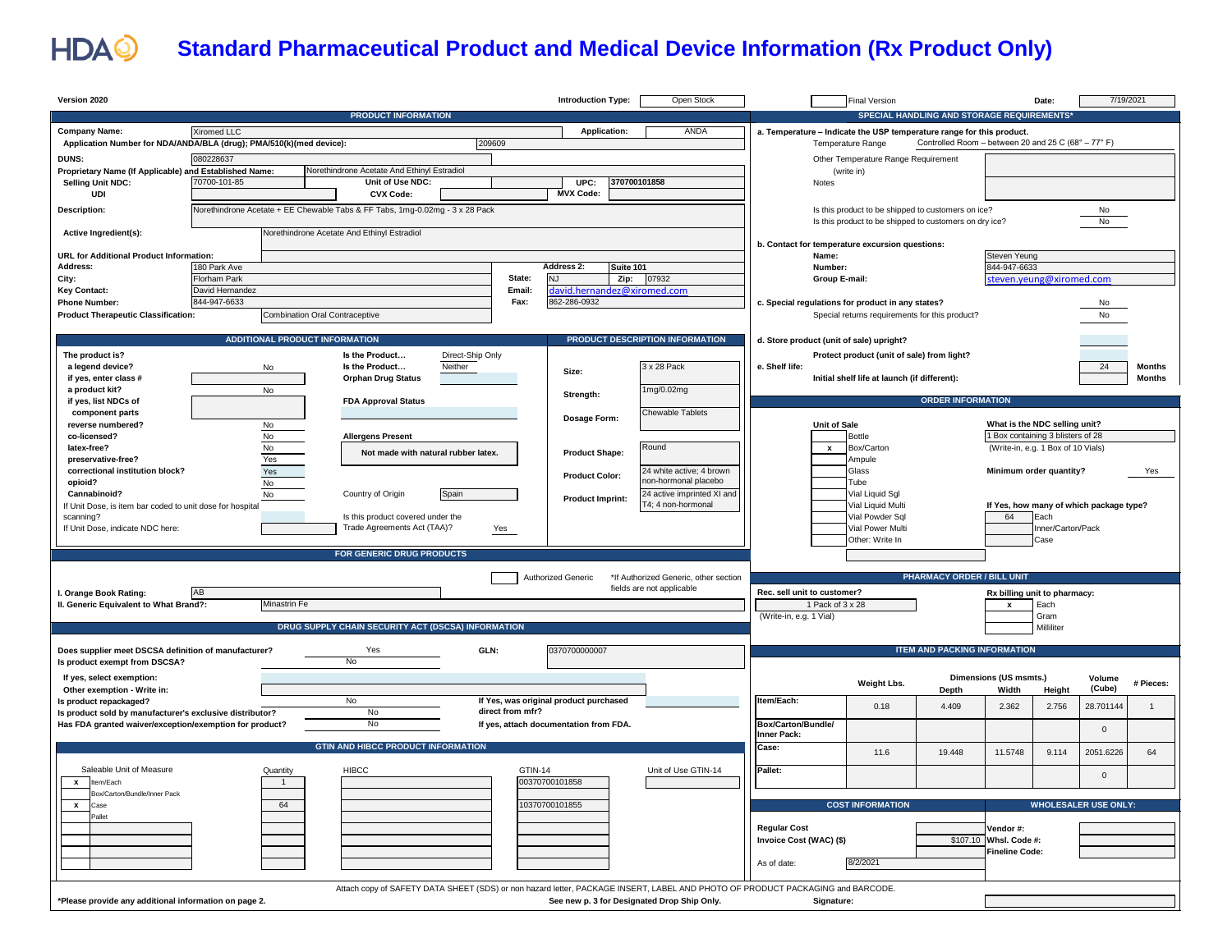

## **Standard Pharmaceutical Product and Medical Device Information (Rx Product Only)**

| Version 2020                                                                                                         |                     |                                |                                                                              |                             |                  | <b>Introduction Type:</b>              | Open Stock                                                                                                                     |                                                                       | <b>Final Version</b>                                                                                         |                                                     |                               | Date:                              | 7/19/2021                               |                |
|----------------------------------------------------------------------------------------------------------------------|---------------------|--------------------------------|------------------------------------------------------------------------------|-----------------------------|------------------|----------------------------------------|--------------------------------------------------------------------------------------------------------------------------------|-----------------------------------------------------------------------|--------------------------------------------------------------------------------------------------------------|-----------------------------------------------------|-------------------------------|------------------------------------|-----------------------------------------|----------------|
|                                                                                                                      |                     |                                | <b>PRODUCT INFORMATION</b>                                                   |                             |                  |                                        |                                                                                                                                |                                                                       |                                                                                                              | SPECIAL HANDLING AND STORAGE REQUIREMENTS           |                               |                                    |                                         |                |
| <b>Company Name:</b>                                                                                                 | Xiromed LLC         |                                |                                                                              |                             |                  | <b>Application:</b>                    | ANDA                                                                                                                           | a. Temperature - Indicate the USP temperature range for this product. |                                                                                                              |                                                     |                               |                                    |                                         |                |
| Application Number for NDA/ANDA/BLA (drug); PMA/510(k)(med device):                                                  |                     |                                |                                                                              | 209609                      |                  |                                        |                                                                                                                                |                                                                       | <b>Temperature Range</b>                                                                                     | Controlled Room - between 20 and 25 C (68° - 77° F) |                               |                                    |                                         |                |
| <b>DUNS:</b>                                                                                                         | 080228637           |                                |                                                                              |                             |                  |                                        |                                                                                                                                |                                                                       | Other Temperature Range Requirement                                                                          |                                                     |                               |                                    |                                         |                |
| Proprietary Name (If Applicable) and Established Name:                                                               |                     |                                | Norethindrone Acetate And Ethinyl Estradiol                                  |                             |                  |                                        | 370700101858                                                                                                                   |                                                                       | (write in)                                                                                                   |                                                     |                               |                                    |                                         |                |
| <b>Selling Unit NDC:</b><br>UDI                                                                                      | 70700-101-85        |                                | Unit of Use NDC:<br><b>CVX Code:</b>                                         |                             |                  | UPC:<br><b>MVX Code:</b>               |                                                                                                                                | Notes                                                                 |                                                                                                              |                                                     |                               |                                    |                                         |                |
|                                                                                                                      |                     |                                |                                                                              |                             |                  |                                        |                                                                                                                                |                                                                       |                                                                                                              |                                                     |                               |                                    |                                         |                |
| Description:                                                                                                         |                     |                                | Norethindrone Acetate + EE Chewable Tabs & FF Tabs, 1mg-0.02mg - 3 x 28 Pack |                             |                  |                                        |                                                                                                                                |                                                                       | Is this product to be shipped to customers on ice?<br>Is this product to be shipped to customers on dry ice? |                                                     |                               |                                    | No<br>No                                |                |
| Active Ingredient(s):                                                                                                |                     |                                | Norethindrone Acetate And Ethinyl Estradiol                                  |                             |                  |                                        |                                                                                                                                |                                                                       |                                                                                                              |                                                     |                               |                                    |                                         |                |
|                                                                                                                      |                     |                                |                                                                              |                             |                  |                                        |                                                                                                                                | b. Contact for temperature excursion questions:                       |                                                                                                              |                                                     |                               |                                    |                                         |                |
| URL for Additional Product Information:<br>Address:                                                                  | 180 Park Ave        |                                |                                                                              |                             |                  | <b>Address 2:</b><br>Suite 101         |                                                                                                                                | Name:<br>Number:                                                      |                                                                                                              |                                                     | Steven Yeung<br>844-947-6633  |                                    |                                         |                |
| City:                                                                                                                | <b>Florham Park</b> |                                |                                                                              |                             | State:           | <b>NJ</b><br>Zip:                      | 07932                                                                                                                          | Group E-mail:                                                         |                                                                                                              |                                                     | steven.yeung@xiromed.com      |                                    |                                         |                |
| <b>Key Contact:</b>                                                                                                  | David Hernandez     |                                |                                                                              |                             | Email:           | david.hernandez@xiromed.com            |                                                                                                                                |                                                                       |                                                                                                              |                                                     |                               |                                    |                                         |                |
| <b>Phone Number:</b>                                                                                                 | 844-947-6633        |                                |                                                                              |                             | Fax:             | 862-286-0932                           |                                                                                                                                | c. Special regulations for product in any states?                     |                                                                                                              |                                                     |                               |                                    | No                                      |                |
| <b>Product Therapeutic Classification:</b>                                                                           |                     | Combination Oral Contraceptive |                                                                              |                             |                  |                                        |                                                                                                                                |                                                                       | Special returns requirements for this product?                                                               |                                                     |                               |                                    | No                                      |                |
| <b>ADDITIONAL PRODUCT INFORMATION</b><br>PRODUCT DESCRIPTION INFORMATION<br>d. Store product (unit of sale) upright? |                     |                                |                                                                              |                             |                  |                                        |                                                                                                                                |                                                                       |                                                                                                              |                                                     |                               |                                    |                                         |                |
|                                                                                                                      |                     |                                |                                                                              |                             |                  |                                        |                                                                                                                                |                                                                       |                                                                                                              |                                                     |                               |                                    |                                         |                |
| The product is?<br>a legend device?                                                                                  |                     | No                             | Is the Product<br>Is the Product                                             | Direct-Ship Only<br>Neither |                  |                                        | 3 x 28 Pack                                                                                                                    | e. Shelf life:                                                        | Protect product (unit of sale) from light?                                                                   |                                                     |                               |                                    | 24                                      | Months         |
| if yes, enter class #                                                                                                |                     |                                | <b>Orphan Drug Status</b>                                                    |                             |                  | Size:                                  |                                                                                                                                |                                                                       | Initial shelf life at launch (if different):                                                                 |                                                     |                               |                                    |                                         | <b>Months</b>  |
| a product kit?                                                                                                       |                     | No                             |                                                                              |                             |                  | Strength:                              | 1mg/0.02mg                                                                                                                     |                                                                       |                                                                                                              |                                                     |                               |                                    |                                         |                |
| if yes, list NDCs of                                                                                                 |                     |                                | <b>FDA Approval Status</b>                                                   |                             |                  |                                        |                                                                                                                                |                                                                       |                                                                                                              | <b>ORDER INFORMATION</b>                            |                               |                                    |                                         |                |
| component parts<br>reverse numbered?                                                                                 |                     | No                             |                                                                              |                             |                  | Dosage Form:                           | Chewable Tablets                                                                                                               | <b>Unit of Sale</b>                                                   |                                                                                                              |                                                     | What is the NDC selling unit? |                                    |                                         |                |
| co-licensed?                                                                                                         |                     | $\mathsf{No}$                  | <b>Allergens Present</b>                                                     |                             |                  |                                        |                                                                                                                                |                                                                       | <b>Bottle</b>                                                                                                |                                                     |                               | 1 Box containing 3 blisters of 28  |                                         |                |
| latex-free?                                                                                                          |                     | $\mathsf{No}$                  | Not made with natural rubber latex.                                          |                             |                  | <b>Product Shape:</b>                  | Round                                                                                                                          | $\boldsymbol{\mathsf{x}}$                                             | Box/Carton                                                                                                   |                                                     |                               | (Write-in, e.g. 1 Box of 10 Vials) |                                         |                |
| preservative-free?                                                                                                   |                     | Yes                            |                                                                              |                             |                  |                                        |                                                                                                                                |                                                                       | Ampule                                                                                                       |                                                     |                               |                                    |                                         |                |
| correctional institution block?                                                                                      |                     | Yes                            |                                                                              |                             |                  | <b>Product Color:</b>                  | 24 white active; 4 brown<br>non-hormonal placebo                                                                               |                                                                       | Glass                                                                                                        |                                                     | Minimum order quantity?       |                                    |                                         | Yes            |
| opioid?<br>Cannabinoid?                                                                                              |                     | No<br>No                       | Country of Origin                                                            | Spain                       |                  |                                        | 24 active imprinted XI and                                                                                                     |                                                                       | Tube<br>Vial Liquid Sgl                                                                                      |                                                     |                               |                                    |                                         |                |
| If Unit Dose, is item bar coded to unit dose for hospital                                                            |                     |                                |                                                                              |                             |                  | <b>Product Imprint:</b>                | 4: 4 non-hormonal                                                                                                              |                                                                       | Vial Liquid Multi                                                                                            |                                                     |                               |                                    | If Yes, how many of which package type? |                |
| scanning?                                                                                                            |                     |                                | Is this product covered under the                                            |                             |                  |                                        |                                                                                                                                |                                                                       | Vial Powder Sal                                                                                              |                                                     | 64                            | Each                               |                                         |                |
| If Unit Dose, indicate NDC here:                                                                                     |                     |                                | Trade Agreements Act (TAA)?                                                  |                             | Yes              |                                        |                                                                                                                                |                                                                       | Vial Power Multi                                                                                             |                                                     |                               | Inner/Carton/Pack                  |                                         |                |
|                                                                                                                      |                     |                                | FOR GENERIC DRUG PRODUCTS                                                    |                             |                  |                                        |                                                                                                                                |                                                                       | Other: Write In                                                                                              |                                                     |                               | Case                               |                                         |                |
|                                                                                                                      |                     |                                |                                                                              |                             |                  |                                        |                                                                                                                                |                                                                       |                                                                                                              |                                                     |                               |                                    |                                         |                |
|                                                                                                                      |                     |                                |                                                                              |                             |                  | Authorized Generic                     | *If Authorized Generic, other section                                                                                          |                                                                       |                                                                                                              | <b>PHARMACY ORDER / BILL UNIT</b>                   |                               |                                    |                                         |                |
| I. Orange Book Rating:                                                                                               | AB                  |                                |                                                                              |                             |                  |                                        | fields are not applicable                                                                                                      | Rec. sell unit to customer?                                           |                                                                                                              |                                                     | Rx billing unit to pharmacy:  |                                    |                                         |                |
| II. Generic Equivalent to What Brand?:                                                                               |                     | Minastrin Fe                   |                                                                              |                             |                  |                                        |                                                                                                                                | 1 Pack of 3 x 28                                                      |                                                                                                              |                                                     | x                             | Each                               |                                         |                |
|                                                                                                                      |                     |                                | DRUG SUPPLY CHAIN SECURITY ACT (DSCSA) INFORMATION                           |                             |                  |                                        |                                                                                                                                | (Write-in, e.g. 1 Vial)                                               |                                                                                                              |                                                     |                               | Gram<br>Milliliter                 |                                         |                |
|                                                                                                                      |                     |                                |                                                                              |                             |                  |                                        |                                                                                                                                |                                                                       |                                                                                                              |                                                     |                               |                                    |                                         |                |
| Does supplier meet DSCSA definition of manufacturer?                                                                 |                     |                                | Yes                                                                          | GLN:                        |                  | 0370700000007                          |                                                                                                                                |                                                                       |                                                                                                              | <b>ITEM AND PACKING INFORMATION</b>                 |                               |                                    |                                         |                |
| Is product exempt from DSCSA?                                                                                        |                     |                                | <b>No</b>                                                                    |                             |                  |                                        |                                                                                                                                |                                                                       |                                                                                                              |                                                     |                               |                                    |                                         |                |
| If yes, select exemption:                                                                                            |                     |                                |                                                                              |                             |                  |                                        |                                                                                                                                |                                                                       | Weight Lbs.                                                                                                  |                                                     | Dimensions (US msmts.)        |                                    | Volume                                  | # Pieces:      |
| Other exemption - Write in:<br>Is product repackaged?                                                                |                     |                                | No                                                                           |                             |                  | If Yes, was original product purchased |                                                                                                                                | Item/Each:                                                            |                                                                                                              | Depth                                               | Width                         | Height                             | (Cube)                                  |                |
| Is product sold by manufacturer's exclusive distributor?                                                             |                     |                                | No                                                                           |                             | direct from mfr? |                                        |                                                                                                                                |                                                                       | 0.18                                                                                                         | 4.409                                               | 2.362                         | 2.756                              | 28.701144                               | $\overline{1}$ |
| Has FDA granted waiver/exception/exemption for product?                                                              |                     |                                | No                                                                           |                             |                  | If yes, attach documentation from FDA. |                                                                                                                                | Box/Carton/Bundle/                                                    |                                                                                                              |                                                     |                               |                                    | $\Omega$                                |                |
|                                                                                                                      |                     |                                |                                                                              |                             |                  |                                        |                                                                                                                                | Inner Pack:                                                           |                                                                                                              |                                                     |                               |                                    |                                         |                |
|                                                                                                                      |                     |                                | <b>GTIN AND HIBCC PRODUCT INFORMATION</b>                                    |                             |                  |                                        |                                                                                                                                | Case:                                                                 | 11.6                                                                                                         | 19.448                                              | 11.5748                       | 9.114                              | 2051.6226                               | 64             |
| Saleable Unit of Measure                                                                                             |                     | Quantity                       | <b>HIBCC</b>                                                                 |                             | <b>GTIN-14</b>   |                                        | Unit of Use GTIN-14                                                                                                            | Pallet:                                                               |                                                                                                              |                                                     |                               |                                    |                                         |                |
| x Item/Each                                                                                                          |                     | $\overline{1}$                 |                                                                              |                             |                  | 00370700101858                         |                                                                                                                                |                                                                       |                                                                                                              |                                                     |                               |                                    | $\Omega$                                |                |
| Box/Carton/Bundle/Inner Pack                                                                                         |                     |                                |                                                                              |                             |                  |                                        |                                                                                                                                |                                                                       |                                                                                                              |                                                     |                               |                                    |                                         |                |
| $\mathbf{x}$<br>Case<br>Pallet                                                                                       |                     | 64                             |                                                                              |                             |                  | 10370700101855                         |                                                                                                                                |                                                                       | <b>COST INFORMATION</b>                                                                                      |                                                     |                               |                                    | <b>WHOLESALER USE ONLY:</b>             |                |
|                                                                                                                      |                     |                                |                                                                              |                             |                  |                                        |                                                                                                                                | <b>Regular Cost</b>                                                   |                                                                                                              |                                                     | Vendor #:                     |                                    |                                         |                |
|                                                                                                                      |                     |                                |                                                                              |                             |                  |                                        |                                                                                                                                | Invoice Cost (WAC) (\$)                                               |                                                                                                              |                                                     | \$107.10 Whsl. Code #:        |                                    |                                         |                |
|                                                                                                                      |                     |                                |                                                                              |                             |                  |                                        |                                                                                                                                |                                                                       |                                                                                                              |                                                     | Fineline Code:                |                                    |                                         |                |
|                                                                                                                      |                     |                                |                                                                              |                             |                  |                                        |                                                                                                                                | As of date:                                                           | 8/2/2021                                                                                                     |                                                     |                               |                                    |                                         |                |
|                                                                                                                      |                     |                                |                                                                              |                             |                  |                                        | Attach copy of SAFETY DATA SHEET (SDS) or non hazard letter, PACKAGE INSERT, LABEL AND PHOTO OF PRODUCT PACKAGING and BARCODE. |                                                                       |                                                                                                              |                                                     |                               |                                    |                                         |                |
| *Please provide any additional information on page 2.                                                                |                     |                                |                                                                              |                             |                  |                                        | See new p. 3 for Designated Drop Ship Only.                                                                                    | Signature:                                                            |                                                                                                              |                                                     |                               |                                    |                                         |                |
|                                                                                                                      |                     |                                |                                                                              |                             |                  |                                        |                                                                                                                                |                                                                       |                                                                                                              |                                                     |                               |                                    |                                         |                |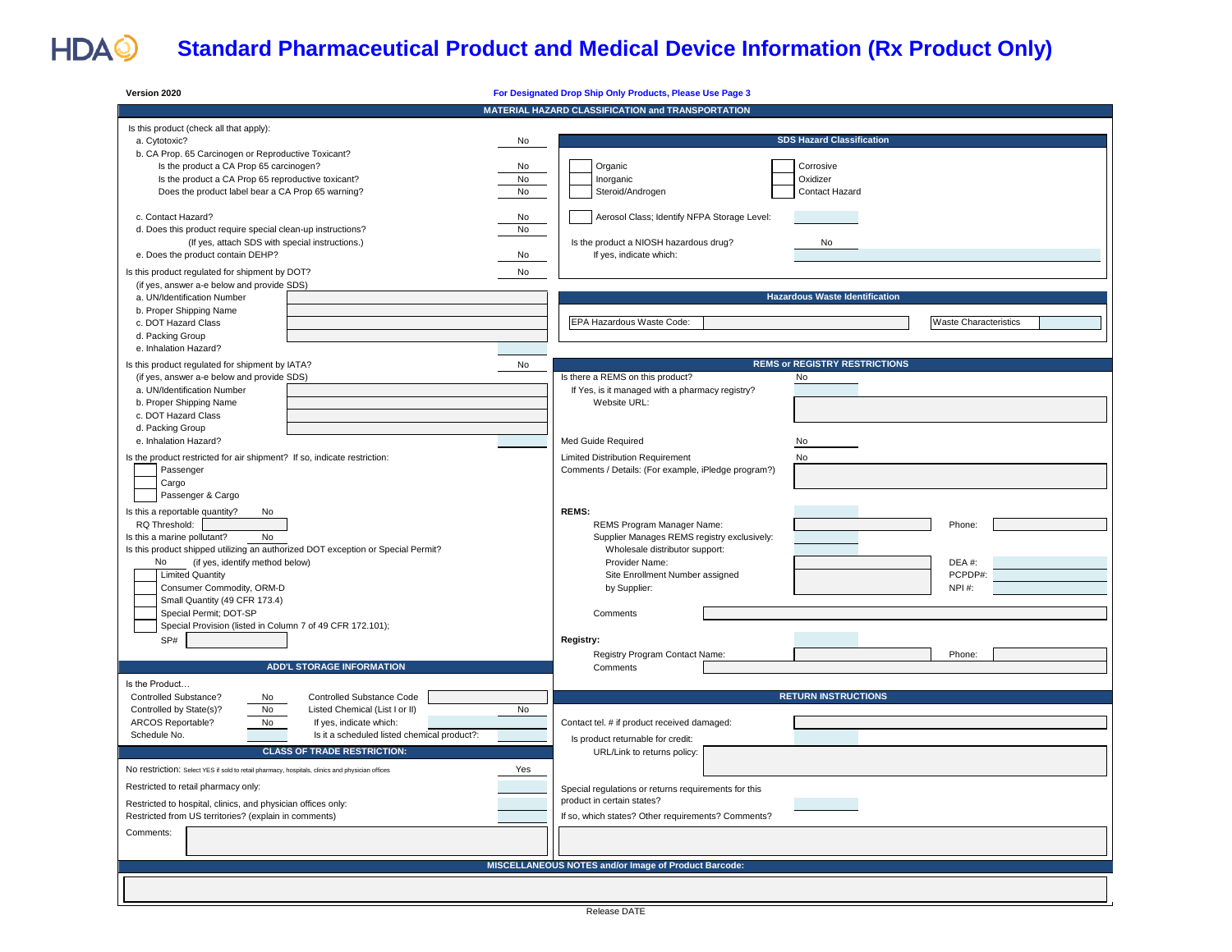## HDAQ **Standard Pharmaceutical Product and Medical Device Information (Rx Product Only)**

| Version 2020                                                                                                                                                                                                                                                                                                                                                                                           | For Designated Drop Ship Only Products, Please Use Page 3                                                                                                                                                                                            |
|--------------------------------------------------------------------------------------------------------------------------------------------------------------------------------------------------------------------------------------------------------------------------------------------------------------------------------------------------------------------------------------------------------|------------------------------------------------------------------------------------------------------------------------------------------------------------------------------------------------------------------------------------------------------|
|                                                                                                                                                                                                                                                                                                                                                                                                        | MATERIAL HAZARD CLASSIFICATION and TRANSPORTATION                                                                                                                                                                                                    |
| Is this product (check all that apply):<br>a. Cytotoxic?<br>No<br>b. CA Prop. 65 Carcinogen or Reproductive Toxicant?<br>Is the product a CA Prop 65 carcinogen?<br>No<br>Is the product a CA Prop 65 reproductive toxicant?<br>No<br>No<br>Does the product label bear a CA Prop 65 warning?                                                                                                          | <b>SDS Hazard Classification</b><br>Organic<br>Corrosive<br>Inorganic<br>Oxidizer<br>Steroid/Androgen<br>Contact Hazard                                                                                                                              |
| c. Contact Hazard?<br>No<br>d. Does this product require special clean-up instructions?<br>No<br>(If yes, attach SDS with special instructions.)<br>e. Does the product contain DEHP?<br>No<br>Is this product regulated for shipment by DOT?<br>No<br>(if yes, answer a-e below and provide SDS)                                                                                                      | Aerosol Class; Identify NFPA Storage Level:<br>Is the product a NIOSH hazardous drug?<br>No<br>If yes, indicate which:                                                                                                                               |
| a. UN/Identification Number<br>b. Proper Shipping Name<br>c. DOT Hazard Class<br>d. Packing Group<br>e. Inhalation Hazard?                                                                                                                                                                                                                                                                             | <b>Hazardous Waste Identification</b><br>EPA Hazardous Waste Code:<br><b>Waste Characteristics</b>                                                                                                                                                   |
| Is this product regulated for shipment by IATA?<br>No<br>(if yes, answer a-e below and provide SDS)<br>a. UN/Identification Number<br>b. Proper Shipping Name<br>c. DOT Hazard Class<br>d. Packing Group                                                                                                                                                                                               | <b>REMS or REGISTRY RESTRICTIONS</b><br>Is there a REMS on this product?<br>No<br>If Yes, is it managed with a pharmacy registry?<br>Website URL:                                                                                                    |
| e. Inhalation Hazard?<br>Is the product restricted for air shipment? If so, indicate restriction:<br>Passenger<br>Cargo<br>Passenger & Cargo                                                                                                                                                                                                                                                           | Med Guide Required<br>No<br><b>Limited Distribution Requirement</b><br>No<br>Comments / Details: (For example, iPledge program?)                                                                                                                     |
| Is this a reportable quantity?<br>No<br>RQ Threshold:<br>No<br>Is this a marine pollutant?<br>Is this product shipped utilizing an authorized DOT exception or Special Permit?<br>No<br>(if yes, identify method below)<br><b>Limited Quantity</b><br>Consumer Commodity, ORM-D<br>Small Quantity (49 CFR 173.4)<br>Special Permit; DOT-SP                                                             | <b>REMS:</b><br>Phone:<br>REMS Program Manager Name:<br>Supplier Manages REMS registry exclusively:<br>Wholesale distributor support:<br>Provider Name:<br>DEA #:<br>Site Enrollment Number assigned<br>PCPDP#:<br>NPI#:<br>by Supplier:<br>Comments |
| Special Provision (listed in Column 7 of 49 CFR 172.101);<br>SP#<br><b>ADD'L STORAGE INFORMATION</b><br>Is the Product                                                                                                                                                                                                                                                                                 | Registry:<br>Registry Program Contact Name:<br>Phone:<br>Comments                                                                                                                                                                                    |
| Controlled Substance?<br>Controlled Substance Code<br>No<br>Controlled by State(s)?<br>No<br>No<br>Listed Chemical (List I or II)<br>ARCOS Reportable?<br>No<br>If yes, indicate which:<br>Schedule No.<br>Is it a scheduled listed chemical product?:<br><b>CLASS OF TRADE RESTRICTION:</b><br>Yes<br>No restriction: Select YES if sold to retail pharmacy, hospitals, clinics and physician offices | <b>RETURN INSTRUCTIONS</b><br>Contact tel. # if product received damaged:<br>Is product returnable for credit:<br>URL/Link to returns policy:                                                                                                        |
| Restricted to retail pharmacy only:<br>Restricted to hospital, clinics, and physician offices only:<br>Restricted from US territories? (explain in comments)<br>Comments:                                                                                                                                                                                                                              | Special regulations or returns requirements for this<br>product in certain states?<br>If so, which states? Other requirements? Comments?                                                                                                             |
|                                                                                                                                                                                                                                                                                                                                                                                                        | MISCELLANEOUS NOTES and/or Image of Product Barcode:                                                                                                                                                                                                 |